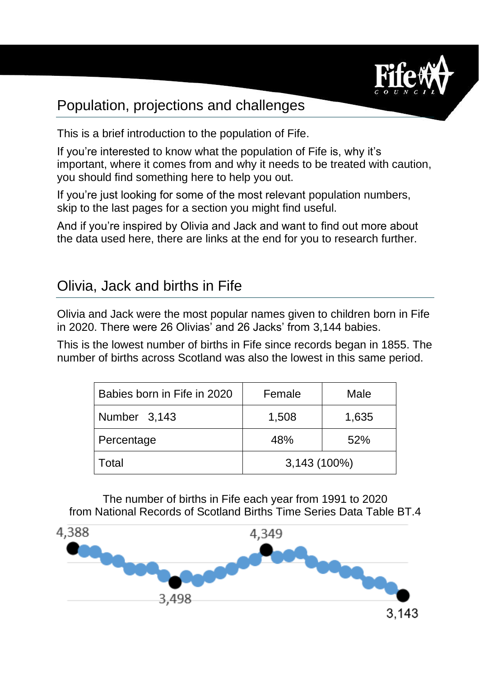

## Population, projections and challenges

This is a brief introduction to the population of Fife.

If you're interested to know what the population of Fife is, why it's important, where it comes from and why it needs to be treated with caution, you should find something here to help you out.

If you're just looking for some of the most relevant population numbers, skip to the last pages for a section you might find useful.

And if you're inspired by Olivia and Jack and want to find out more about the data used here, there are links at the end for you to research further.

### Olivia, Jack and births in Fife

Olivia and Jack were the most popular names given to children born in Fife in 2020. There were 26 Olivias' and 26 Jacks' from 3,144 babies.

This is the lowest number of births in Fife since records began in 1855. The number of births across Scotland was also the lowest in this same period.

| Babies born in Fife in 2020 | Female         | Male  |
|-----------------------------|----------------|-------|
| Number 3,143                | 1,508          | 1,635 |
| Percentage                  | 48%            | 52%   |
| Total                       | $3,143(100\%)$ |       |

The number of births in Fife each year from 1991 to 2020 from National Records of Scotland Births Time Series Data Table BT.4

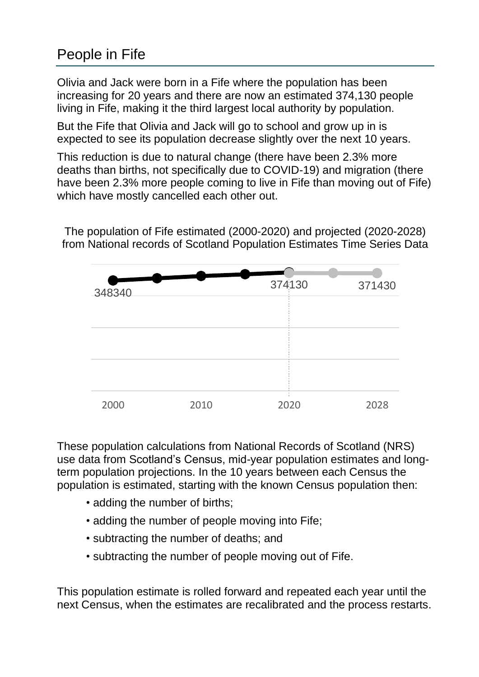# People in Fife

Olivia and Jack were born in a Fife where the population has been increasing for 20 years and there are now an estimated 374,130 people living in Fife, making it the third largest local authority by population.

But the Fife that Olivia and Jack will go to school and grow up in is expected to see its population decrease slightly over the next 10 years.

This reduction is due to natural change (there have been 2.3% more deaths than births, not specifically due to COVID-19) and migration (there have been 2.3% more people coming to live in Fife than moving out of Fife) which have mostly cancelled each other out.

The population of Fife estimated (2000-2020) and projected (2020-2028) from National records of Scotland Population Estimates Time Series Data



These population calculations from National Records of Scotland (NRS) use data from Scotland's Census, mid-year population estimates and longterm population projections. In the 10 years between each Census the population is estimated, starting with the known Census population then:

- adding the number of births;
- adding the number of people moving into Fife;
- subtracting the number of deaths; and
- subtracting the number of people moving out of Fife.

This population estimate is rolled forward and repeated each year until the next Census, when the estimates are recalibrated and the process restarts.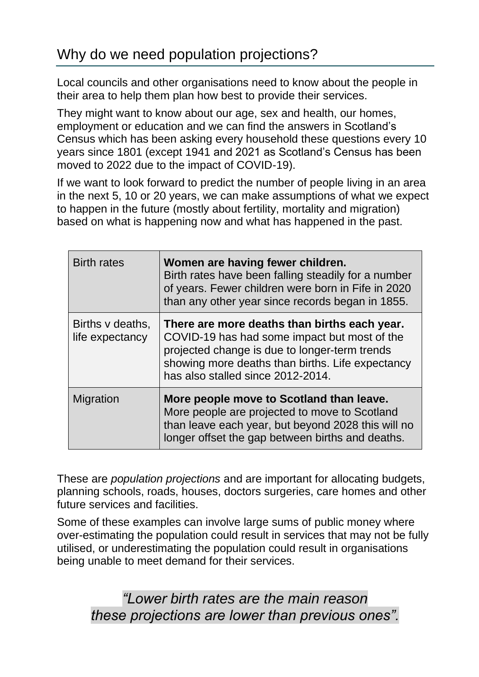Local councils and other organisations need to know about the people in their area to help them plan how best to provide their services.

They might want to know about our age, sex and health, our homes, employment or education and we can find the answers in Scotland's Census which has been asking every household these questions every 10 years since 1801 (except 1941 and 2021 as Scotland's Census has been moved to 2022 due to the impact of COVID-19).

If we want to look forward to predict the number of people living in an area in the next 5, 10 or 20 years, we can make assumptions of what we expect to happen in the future (mostly about fertility, mortality and migration) based on what is happening now and what has happened in the past.

| <b>Birth rates</b>                  | Women are having fewer children.<br>Birth rates have been falling steadily for a number<br>of years. Fewer children were born in Fife in 2020<br>than any other year since records began in 1855.                                      |
|-------------------------------------|----------------------------------------------------------------------------------------------------------------------------------------------------------------------------------------------------------------------------------------|
| Births v deaths,<br>life expectancy | There are more deaths than births each year.<br>COVID-19 has had some impact but most of the<br>projected change is due to longer-term trends<br>showing more deaths than births. Life expectancy<br>has also stalled since 2012-2014. |
| Migration                           | More people move to Scotland than leave.<br>More people are projected to move to Scotland<br>than leave each year, but beyond 2028 this will no<br>longer offset the gap between births and deaths.                                    |

These are *population projections* and are important for allocating budgets, planning schools, roads, houses, doctors surgeries, care homes and other future services and facilities.

Some of these examples can involve large sums of public money where over-estimating the population could result in services that may not be fully utilised, or underestimating the population could result in organisations being unable to meet demand for their services.

*"Lower birth rates are the main reason these projections are lower than previous ones".*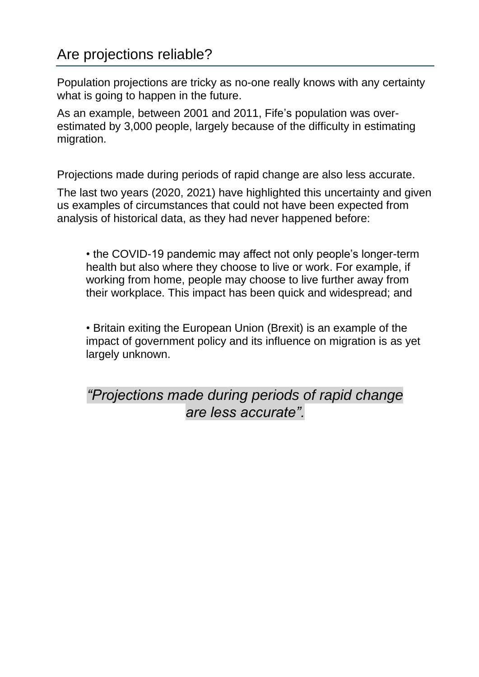## Are projections reliable?

Population projections are tricky as no-one really knows with any certainty what is going to happen in the future.

As an example, between 2001 and 2011, Fife's population was overestimated by 3,000 people, largely because of the difficulty in estimating migration.

Projections made during periods of rapid change are also less accurate.

The last two years (2020, 2021) have highlighted this uncertainty and given us examples of circumstances that could not have been expected from analysis of historical data, as they had never happened before:

• the COVID-19 pandemic may affect not only people's longer-term health but also where they choose to live or work. For example, if working from home, people may choose to live further away from their workplace. This impact has been quick and widespread; and

• Britain exiting the European Union (Brexit) is an example of the impact of government policy and its influence on migration is as yet largely unknown.

*"Projections made during periods of rapid change are less accurate".*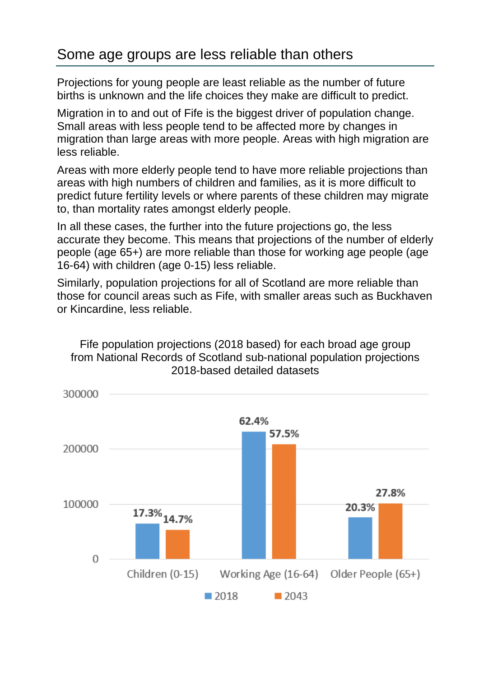### Some age groups are less reliable than others

Projections for young people are least reliable as the number of future births is unknown and the life choices they make are difficult to predict.

Migration in to and out of Fife is the biggest driver of population change. Small areas with less people tend to be affected more by changes in migration than large areas with more people. Areas with high migration are less reliable.

Areas with more elderly people tend to have more reliable projections than areas with high numbers of children and families, as it is more difficult to predict future fertility levels or where parents of these children may migrate to, than mortality rates amongst elderly people.

In all these cases, the further into the future projections go, the less accurate they become. This means that projections of the number of elderly people (age 65+) are more reliable than those for working age people (age 16-64) with children (age 0-15) less reliable.

Similarly, population projections for all of Scotland are more reliable than those for council areas such as Fife, with smaller areas such as Buckhaven or Kincardine, less reliable.



Fife population projections (2018 based) for each broad age group from National Records of Scotland sub-national population projections 2018-based detailed datasets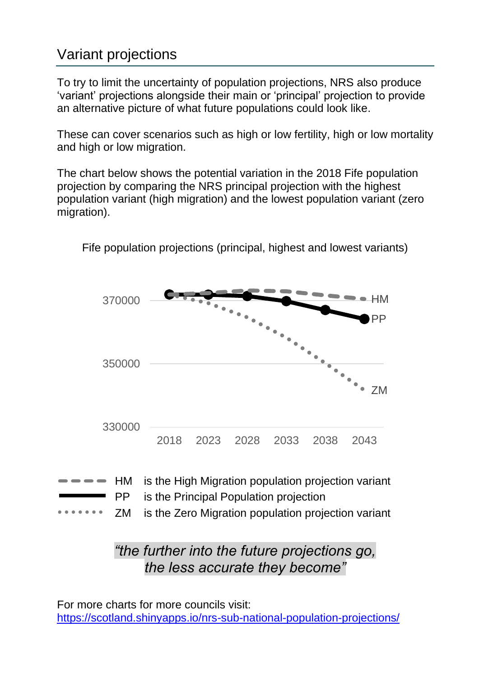# Variant projections

To try to limit the uncertainty of population projections, NRS also produce 'variant' projections alongside their main or 'principal' projection to provide an alternative picture of what future populations could look like.

These can cover scenarios such as high or low fertility, high or low mortality and high or low migration.

The chart below shows the potential variation in the 2018 Fife population projection by comparing the NRS principal projection with the highest population variant (high migration) and the lowest population variant (zero migration).



Fife population projections (principal, highest and lowest variants)

## *"the further into the future projections go, the less accurate they become"*

For more charts for more councils visit: <https://scotland.shinyapps.io/nrs-sub-national-population-projections/>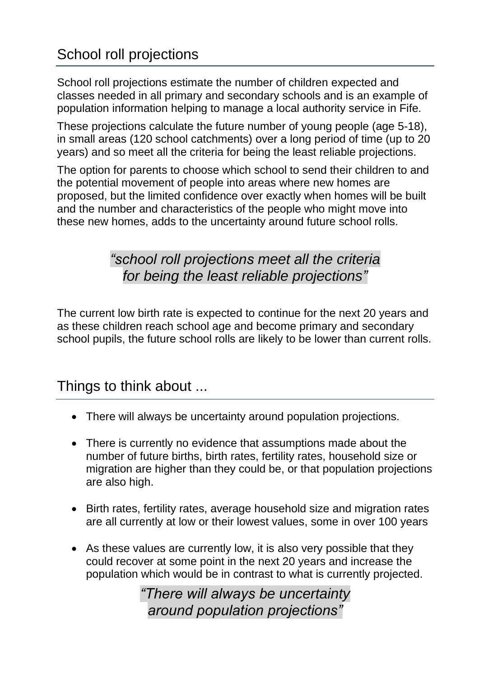# School roll projections

School roll projections estimate the number of children expected and classes needed in all primary and secondary schools and is an example of population information helping to manage a local authority service in Fife.

These projections calculate the future number of young people (age 5-18), in small areas (120 school catchments) over a long period of time (up to 20 years) and so meet all the criteria for being the least reliable projections.

The option for parents to choose which school to send their children to and the potential movement of people into areas where new homes are proposed, but the limited confidence over exactly when homes will be built and the number and characteristics of the people who might move into these new homes, adds to the uncertainty around future school rolls.

### *"school roll projections meet all the criteria for being the least reliable projections"*

The current low birth rate is expected to continue for the next 20 years and as these children reach school age and become primary and secondary school pupils, the future school rolls are likely to be lower than current rolls.

### Things to think about ...

- There will always be uncertainty around population projections.
- There is currently no evidence that assumptions made about the number of future births, birth rates, fertility rates, household size or migration are higher than they could be, or that population projections are also high.
- Birth rates, fertility rates, average household size and migration rates are all currently at low or their lowest values, some in over 100 years
- As these values are currently low, it is also very possible that they could recover at some point in the next 20 years and increase the population which would be in contrast to what is currently projected.

*"There will always be uncertainty around population projections"*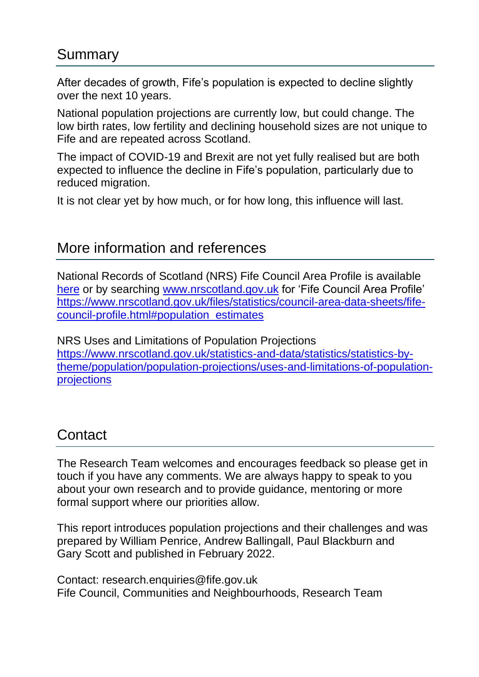#### Summary

After decades of growth, Fife's population is expected to decline slightly over the next 10 years.

National population projections are currently low, but could change. The low birth rates, low fertility and declining household sizes are not unique to Fife and are repeated across Scotland.

The impact of COVID-19 and Brexit are not yet fully realised but are both expected to influence the decline in Fife's population, particularly due to reduced migration.

It is not clear yet by how much, or for how long, this influence will last.

### More information and references

National Records of Scotland (NRS) Fife Council Area Profile is available [here](https://www.nrscotland.gov.uk/files/statistics/council-area-data-sheets/fife-council-profile.html#population_estimates) or by searching [www.nrscotland.gov.uk](http://www.nrscotland.gov.uk/) for 'Fife Council Area Profile' [https://www.nrscotland.gov.uk/files/statistics/council-area-data-sheets/fife](https://www.nrscotland.gov.uk/files/statistics/council-area-data-sheets/fife-council-profile.html#population_estimates)[council-profile.html#population\\_estimates](https://www.nrscotland.gov.uk/files/statistics/council-area-data-sheets/fife-council-profile.html#population_estimates)

NRS Uses and Limitations of Population Projections [https://www.nrscotland.gov.uk/statistics-and-data/statistics/statistics-by](https://www.nrscotland.gov.uk/statistics-and-data/statistics/statistics-by-theme/population/population-projections/uses-and-limitations-of-population-projections)[theme/population/population-projections/uses-and-limitations-of-population](https://www.nrscotland.gov.uk/statistics-and-data/statistics/statistics-by-theme/population/population-projections/uses-and-limitations-of-population-projections)[projections](https://www.nrscotland.gov.uk/statistics-and-data/statistics/statistics-by-theme/population/population-projections/uses-and-limitations-of-population-projections)

## **Contact**

The Research Team welcomes and encourages feedback so please get in touch if you have any comments. We are always happy to speak to you about your own research and to provide guidance, mentoring or more formal support where our priorities allow.

This report introduces population projections and their challenges and was prepared by William Penrice, Andrew Ballingall, Paul Blackburn and Gary Scott and published in February 2022.

Contact: research.enquiries@fife.gov.uk Fife Council, Communities and Neighbourhoods, Research Team